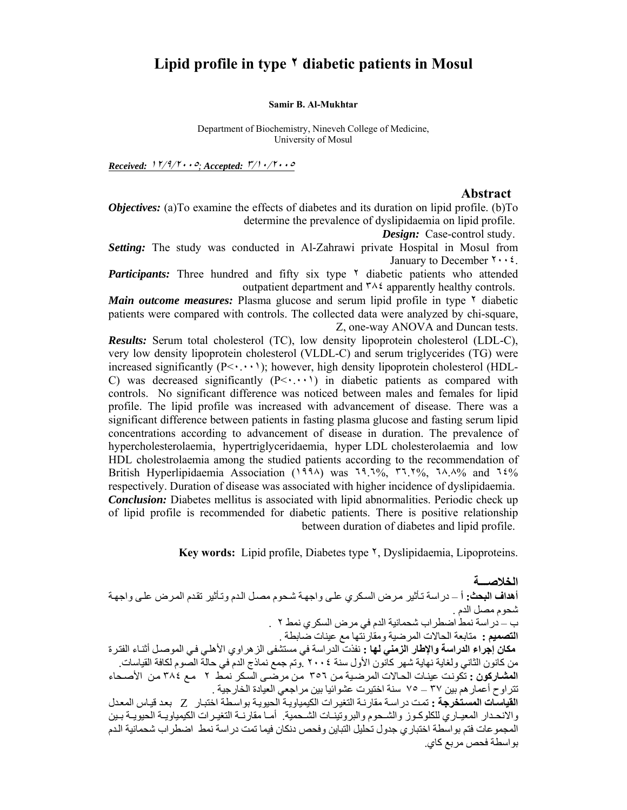# **Lipid profile in type ٢ diabetic patients in Mosul**

#### **Samir B. Al-Mukhtar**

Department of Biochemistry, Nineveh College of Medicine, University of Mosul

*Received:* <sup>١٢</sup>/٩/٢٠٠٥*; Accepted:* <sup>٣</sup>/١٠/<sup>٢٠٠٥</sup>

#### **Abstract**

*Objectives:* (a)To examine the effects of diabetes and its duration on lipid profile. (b)To determine the prevalence of dyslipidaemia on lipid profile.

*Design:* Case-control study.

*Setting:* The study was conducted in Al-Zahrawi private Hospital in Mosul from January to December  $\mathbf{y} \cdot \mathbf{z}$ .

*Participants:* Three hundred and fifty six type  $\gamma$  diabetic patients who attended outpatient department and  $\forall \lambda \in \mathbb{R}$  apparently healthy controls.

*Main outcome measures:* Plasma glucose and serum lipid profile in type  $\gamma$  diabetic patients were compared with controls. The collected data were analyzed by chi-square, Z, one-way ANOVA and Duncan tests.

*Results:* Serum total cholesterol (TC), low density lipoprotein cholesterol (LDL-C), very low density lipoprotein cholesterol (VLDL-C) and serum triglycerides (TG) were increased significantly  $(P<\cdots)$ ; however, high density lipoprotein cholesterol (HDL-C) was decreased significantly  $(P \le \cdots)$  in diabetic patients as compared with controls. No significant difference was noticed between males and females for lipid profile. The lipid profile was increased with advancement of disease. There was a significant difference between patients in fasting plasma glucose and fasting serum lipid concentrations according to advancement of disease in duration. The prevalence of hypercholesterolaemia, hypertriglyceridaemia, hyper-LDL-cholesterolaemia and low HDL cholestrolaemia among the studied patients according to the recommendation of British Hyperlipidaemia Association (1994) was 19.1%, ٣٦.٢%, ٦٨.٨% and ٦٤% respectively. Duration of disease was associated with higher incidence of dyslipidaemia. *Conclusion:* Diabetes mellitus is associated with lipid abnormalities. Periodic check up of lipid profile is recommended for diabetic patients. There is positive relationship between duration of diabetes and lipid profile.

**Key words:** Lipid profile, Diabetes type ٢, Dyslipidaemia, Lipoproteins.

**الخلاصـــة أهداف البحث: أ – دراسة تـأثير مرض السكري على واجهة شحوم مصـل الدم وتـأثير تقدم المرض على واجهة** شحوم مصل الدم . ب – دراسة نمط اضطراب شحمانية الدم في مرض السكري نمط ٢ . **التصميم :** متابعة الحالات المرضية ومقارنتها مع عينات ضابطة . **مكان إجراء الدراسة والإطار الزمني لها :** نفذت الدراسة في مستشفى الزهراوي الأهلѧي فѧي الموصѧل أثنѧاء الفتѧرة من كانون الثاني ولغاية نهاية شهر كانون الأول سنة ٢٠٠٤ .وتم جمع نماذج الدم في حالة الصوم لكافة القياسات. ا**لمشاركون :** تكونت عينات الحالات المرضية من ٣٥٦ من مرضىي السكر نمط ٢ مم ٣٨٤ من الأصحاء تتراوح أعمارهم بين ٣٧ – ٧٥ سنة اختيرت عشوائيا بين مراجعي العيادة الخارجية . القياسات المستخرجة : تمت دراسة مقارنـة التغيرات الكيمياويـة الحيويـة بواسطة اختبار Z بعد قياس المعدل والانحدار المعيـاري للكلوكـوز والشـحوم والبروتينـات الشـحمية. أمـا مقارنـة التغيـر ات الكيمياويـة الحبوبـة بـبن المجموعات فتم بواسطة اختباري جدول تحليل التباين وفحص دنكان فيما تمت دراسة نمط اضطراب شحمانية الѧدم بواسطة فحص مربع كاي.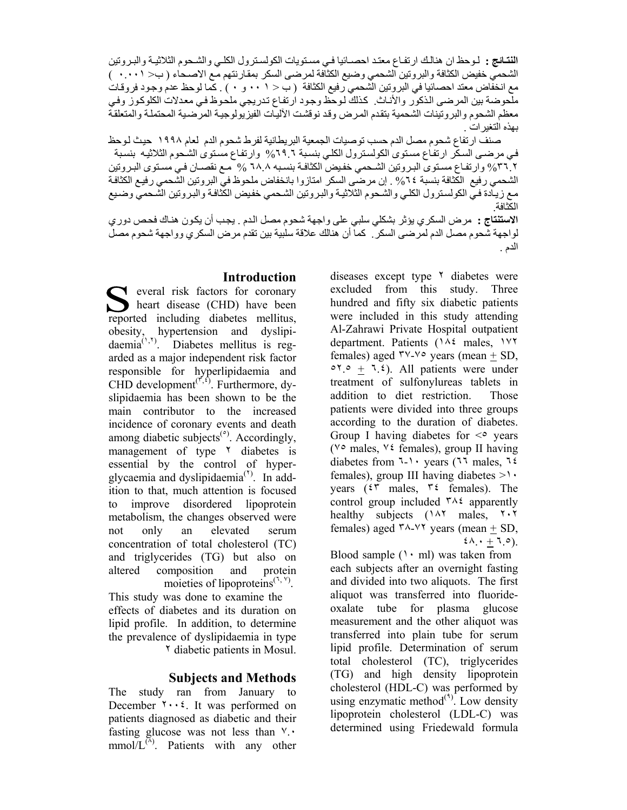ا**لنتائج :** لوحظ ان هنالك ارتفاع معتد احصـائيا فـي مستويات الكولسترول الكلـي والشـحوم الثلاثيـة والبـروتين الشحمي خفيض الكثافة والبروتين الشحمي وضيع الكثافة لمرضى السكر بمقارنتهم مع الاصـحاء ( ب< ٠.٠٠١ ) مع انخفاض معتد احصائيا في البروتين الشحمي رفيع الكثافة (ب< ١٠ - ٠ و ٠ ) . كما لوحظ عدم وجود فروقات ملحوضة بين المرضى الذكور والأناث. كذلك لوحظ وجود ارتفاع تدريجي ملحوظ في معدلات الكلوكوز وفي معظم الشحوم والبروتينات الشحمية بتقدم المرض وقد نوقشت الآليات الفيزيولوجية المرضية المحتملة والمتعلقة بهذه التغيرات .

صنف ارتفاع شحوم مصل الدم حسب توصيات الجمعية البريطانية لفرط شحوم الدم لعام ١٩٩٨ حيث لوحظ في مرضىي السكّر ارتفاع مستوى الكولسترول الكلي بنسبة ٦٩.٦% وارتفاع مستوى الشحوم الثلاثيه بنسبة ٣٦.٢% وارتفـاع مسـتوى البـروتين الشـحمي خفـيض الكثافـة بنسـبه ٦٨.٨ % مـع نقصـان فـي مسـتوى البـروتين الشحمي رفيع الكثافة بنسبة ٦٤% . إن مرضى السكر امتازوا بانخفاض ملحوظ في البروتين الشحمي رفيع الكثافة مع زيـادة فـي الكولسـترول الكلـي والشـحوم الثلاثيـة والبـروتين الشـحمي خفيض الكثافـة والبـروتين الشـحمي وضـبع الكثافة. ا**لاستنتاج :** مرض السكري يؤثر بشكلي سلبي على واجهة شحوم مصل الدم . يجب أن يكون هناك فحص دوري

لواجهة شحوم مصل الدم لمرضىي السكر ً. كما أن هنالك علاقة سلبية بين تقدم مرض السكري وواجهة شحوم مصل الدم .

# **Introduction**

everal risk factors for coronary heart disease (CHD) have been reported including diabetes mellitus, obesity, hypertension and dyslipi $d$ aemia<sup> $(1,1)$ </sup>. Diabetes mellitus is regarded as a major independent risk factor responsible for hyperlipidaemia and CHD development<sup> $(r^{\prime}, s)$ </sup>. Furthermore, dyslipidaemia has been shown to be the main contributor to the increased incidence of coronary events and death among diabetic subjects<sup> $\text{e}$ </sup>. Accordingly, management of type  $\lambda$  diabetes is essential by the control of hyperglycaemia and dyslipidaemia<sup>(\*)</sup>. In addition to that, much attention is focused to improve disordered lipoprotein metabolism, the changes observed were not only an elevated serum concentration of total cholesterol (TC) and triglycerides (TG) but also on altered composition and protein moieties of lipoproteins<sup> $(1, Y)$ </sup>.

This study was done to examine the effects of diabetes and its duration on lipid profile. In addition, to determine the prevalence of dyslipidaemia in type ٢ diabetic patients in Mosul.

## **Subjects and Methods**

The study ran from January to December  $\mathbf{Y} \cdot \mathbf{X}$ . It was performed on patients diagnosed as diabetic and their fasting glucose was not less than  $\vee$ .  $mmol/L^{(\lambda)}$ . Patients with any other diseases except type  $\lambda$  diabetes were excluded from this study. Three hundred and fifty six diabetic patients were included in this study attending Al-Zahrawi Private Hospital outpatient department. Patients (١٨٤ males, ١٧٢ females) aged  $\forall y \sim \forall \circ \text{ years (mean + SD)}$  $\circ$   $\circ$  +  $\ddot{\circ}$  +  $\ddot{\circ}$ ). All patients were under treatment of sulfonylureas tablets in addition to diet restriction. Those patients were divided into three groups according to the duration of diabetes. Group I having diabetes for  $\leq$  years (٧٥ males, ٧٤ females), group II having diabetes from ٦-١٠ years (٦٦ males, ٦٤ females), group III having diabetes  $>1$ . years (٤٣ males, ٣٤ females). The control group included  $\forall \lambda \in \mathcal{L}$  apparently healthy subjects (١٨٢ males, ٢٠٢ females) aged  $\frac{4 \times 4}{7}$  years (mean  $\pm$  SD,  $\mathfrak{t}\Lambda$ . +  $\mathfrak{t}\circ$ ).

Blood sample  $(1 \cdot m)$  was taken from each subjects after an overnight fasting and divided into two aliquots. The first aliquot was transferred into fluorideoxalate tube for plasma glucose measurement and the other aliquot was transferred into plain tube for serum lipid profile. Determination of serum total cholesterol (TC), triglycerides (TG) and high density lipoprotein cholesterol (HDL-C) was performed by using enzymatic method $(1)$ . Low density lipoprotein cholesterol (LDL-C) was determined using Friedewald formula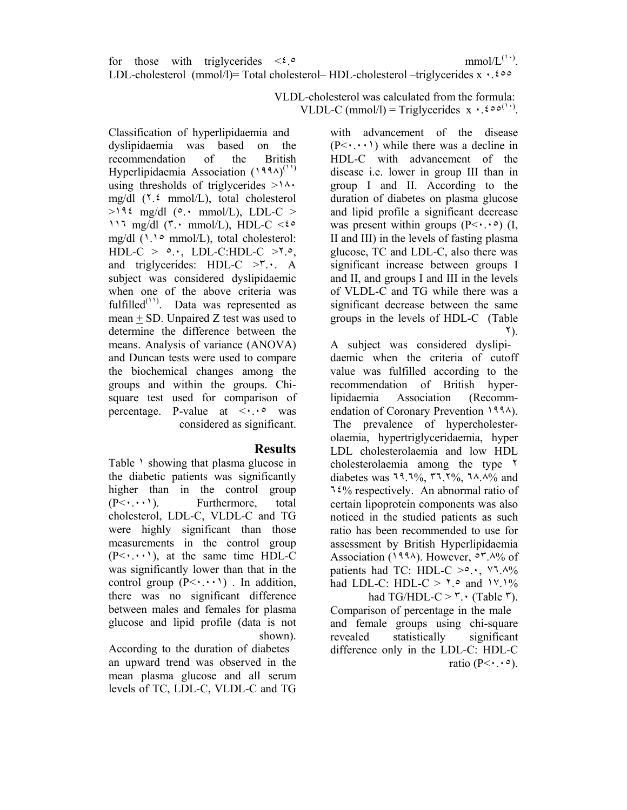VLDL-cholesterol was calculated from the formula: VLDL-C (mmol/l) = Triglycerides  $x \cdot 0.60^{(1)}$ .

> with advancement of the disease  $(P<\cdot\cdot\cdot)$  while there was a decline in HDL-C with advancement of the disease i.e. lower in group III than in group I and II. According to the duration of diabetes on plasma glucose and lipid profile a significant decrease was present within groups  $(P< \cdot \cdot \cdot)$  (I, II and III) in the levels of fasting plasma glucose, TC and LDL-C, also there was significant increase between groups I and II, and groups I and III in the levels of VLDL-C and TG while there was a significant decrease between the same groups in the levels of HDL-C (Table ٢).

A subject was considered dyslipidaemic when the criteria of cutoff value was fulfilled according to the recommendation of British hyperlipidaemia Association (Recommendation of Coronary Prevention ١٩٩٨). The prevalence of hypercholesterolaemia, hypertriglyceridaemia, hyper LDL cholesterolaemia and low HDL cholesterolaemia among the type ٢ diabetes was 19.1%, ٣٦.٢%, ٦٨.٨% and ٦٤% respectively. An abnormal ratio of certain lipoprotein components was also noticed in the studied patients as such ratio has been recommended to use for assessment by British Hyperlipidaemia Association (١٩٩٨). However, ٥٣.٨% of patients had TC: HDL-C  $>0.1$ ,  $\forall$ 1. $\land\%$ had LDL-C: HDL-C >  $\mathbf{1} \circ \mathbf{1} \circ \mathbf{1} \circ \mathbf{1} \circ \mathbf{1}$ had TG/HDL-C  $>$  ". (Table ").

Comparison of percentage in the male and female groups using chi-square revealed statistically significant difference only in the LDL-C: HDL-C ratio  $(P<\cdot \cdot \cdot \circ)$ .

Classification of hyperlipidaemia and dyslipidaemia was based on the recommendation of the British Hyperlipidaemia Association (1994)<sup>(11)</sup> using thresholds of triglycerides  $>1/\sqrt{ }$ . mg/dl (٢.٤ mmol/L), total cholesterol  $>196$  mg/dl (°. mmol/L), LDL-C >  $117 \text{ mg/dl}$  ( $\bar{r} \cdot \text{mmol/L}$ ), HDL-C < $\epsilon \circ$ mg/dl (١.١٥ mmol/L), total cholesterol:  $HDL-C$  >  $\circ$ ., LDL-C:HDL-C  $>1.0$ , and triglycerides: HDL-C  $>^{\circ}$ . A subject was considered dyslipidaemic when one of the above criteria was fulfilled $(1)$ . Data was represented as mean + SD. Unpaired Z test was used to determine the difference between the means. Analysis of variance (ANOVA) and Duncan tests were used to compare the biochemical changes among the groups and within the groups. Chisquare test used for comparison of percentage. P-value at  $\langle \cdot, \cdot \rangle$  was considered as significant.

## **Results**

Table  $\lambda$  showing that plasma glucose in the diabetic patients was significantly higher than in the control group  $(P \leq \cdot \cdot \cdot)$ . Furthermore, total cholesterol, LDL-C, VLDL-C and TG were highly significant than those measurements in the control group  $(P<\cdot,\cdot,\cdot)$ , at the same time HDL-C was significantly lower than that in the control group  $(P<\cdot\cdot\cdot)$ . In addition, there was no significant difference between males and females for plasma glucose and lipid profile (data is not shown).

According to the duration of diabetes an upward trend was observed in the mean plasma glucose and all serum levels of TC, LDL-C, VLDL-C and TG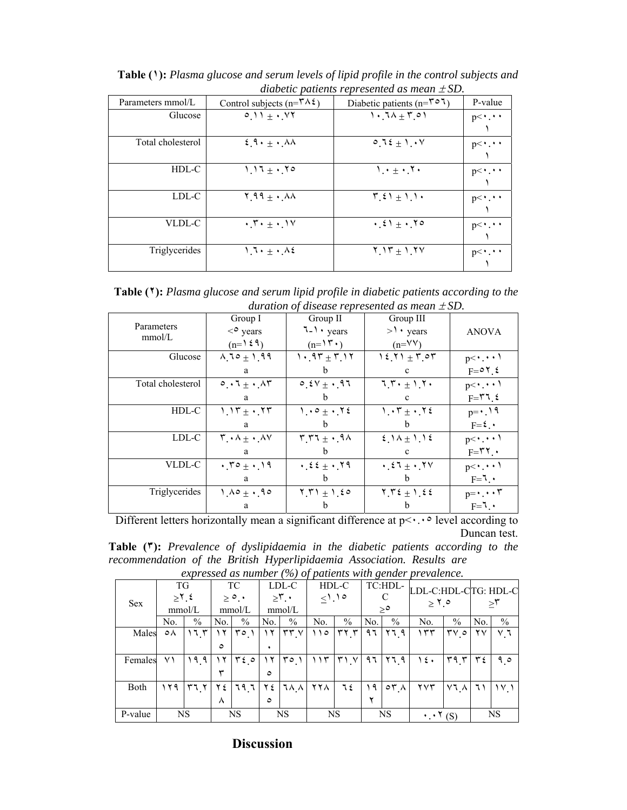| Parameters mmol/L | Control subjects ( $n = \tau \wedge \xi$ )                   | Diabetic patients ( $n = \mathbf{r} \circ \mathbf{1}$ ) | P-value               |
|-------------------|--------------------------------------------------------------|---------------------------------------------------------|-----------------------|
| Glucose           | $0.11 + \cdot 17$                                            | $1.74 + 5.01$                                           | $p<\cdot \cdot \cdot$ |
| Total cholesterol | $\epsilon$ 9. $+$ . AA                                       | $0.72 \pm 1.4V$                                         | $p<\cdot \cdot \cdot$ |
| HDL-C             | $1.17 + .70$                                                 | $1 \cdot \pm \cdot 7 \cdot$                             | $p<\cdot \cdot \cdot$ |
| LDL-C             | $\Upsilon$ 99 $\pm$ $\cdot$ AA                               | $\mathcal{L}(\xi)$ + 1.1.                               | $p<\cdot \cdot \cdot$ |
| VLDL-C            | $\cdot$ , $\mathsf{r} \cdot \pm \cdot$ . $\mathsf{v} \times$ | $\cdot$ { $\cdot$ + $\cdot$ , $\cdot$ $\circ$           | $p<\cdot \cdot \cdot$ |
| Triglycerides     | $1.7 \cdot \pm 1.42$                                         | $Y_1Y_1 + Y_2Y$                                         | $p<\cdot \cdot \cdot$ |

**Table (١):** *Plasma glucose and serum levels of lipid profile in the control subjects and diabetic patients represented as mean* ± *SD.*

**Table (٢):** *Plasma glucose and serum lipid profile in diabetic patients according to the duration of disease represented as mean* ± *SD.* 

| Parameters        | Group I                                                                  | Group II                                                                 | Group III               |                               |  |
|-------------------|--------------------------------------------------------------------------|--------------------------------------------------------------------------|-------------------------|-------------------------------|--|
| mmol/L            | $\langle$ <sup>o</sup> years                                             | $7 - 1$ years                                                            | $>1$ · years            | <b>ANOVA</b>                  |  |
|                   | $(n=159)$                                                                | $(n=15)$                                                                 | $(n=VV)$                |                               |  |
| Glucose           | $1.10 + 1.99$                                                            | $1.97 + 7.17$                                                            | $15.71 + 7.07$          | $p<\cdot\cdot\cdot$           |  |
|                   | a                                                                        | h                                                                        | $\mathbf{c}$            | $F = 07.5$                    |  |
| Total cholesterol | $\circ \cdot 7 + \cdot \wedge 7$                                         | $0.51 + .97$                                                             | $7.7.4 + 1.7.$          | $p<\cdot\cdot\cdot$           |  |
|                   | a                                                                        | b                                                                        | $\mathbf c$             | $F = \mathbf{Y} \mathbf{1}$ . |  |
| HDL-C             | $1.17 + .77$                                                             | $1 \cdot 9 \pm 1.72$                                                     | $1 \cdot 7 \pm 1.72$    | $p = \cdot$ 19                |  |
|                   | a                                                                        | h                                                                        | <sub>b</sub>            | $F = \mathcal{E} \cdot$       |  |
| LDL-C             | $\mathbf{r} \cdot \mathbf{A} \pm \mathbf{A} \cdot \mathbf{A} \mathbf{V}$ | $r_r r_{\perp} \cdot 9 \wedge$                                           | $\{1 \wedge \pm 1\}$    | $p<\cdot\cdot\cdot$           |  |
|                   | a                                                                        | h                                                                        | $\mathbf c$             | $F = \nabla \cdot$            |  |
| VLDL-C            | $\cdot 70 \pm \cdot 19$                                                  | $\cdot$ $52 + \cdot$ $79$                                                | $\cdot$ $51 + \cdot$ YV | $p<\cdot \cdot \cdot$         |  |
|                   | a                                                                        | <sub>b</sub>                                                             | <sub>b</sub>            | $F = 7$ .                     |  |
| Triglycerides     | $1.10 + .10$                                                             | $\Upsilon$ , $\Upsilon$ $\Upsilon$ $\pm$ $\Upsilon$ , $\epsilon$ $\circ$ | $Y_1Y_2 \pm Y_2Z_2$     | $p = \cdot \cdot \cdot \tau$  |  |
|                   | a                                                                        | h                                                                        |                         | $F = 7$ .                     |  |

Different letters horizontally mean a significant difference at  $p \le \cdot \cdot \cdot$  level according to Duncan test.

**Table (٣):** *Prevalence of dyslipidaemia in the diabetic patients according to the recommendation of the British Hyperlipidaemia Association. Results are expressed as number (%) of patients with gender prevalence.* 

| $exp1 cos \omega$ as $min \omega$ , $ 2 \theta$ $ 0 \theta$<br><i>panches went</i> genaci<br><i>prevaience.</i> |                            |               |                         |                               |                               |                           |                     |                 |                     |                      |                                    |                                |     |               |
|-----------------------------------------------------------------------------------------------------------------|----------------------------|---------------|-------------------------|-------------------------------|-------------------------------|---------------------------|---------------------|-----------------|---------------------|----------------------|------------------------------------|--------------------------------|-----|---------------|
| <b>Sex</b>                                                                                                      | TG<br>$\geq 1.5$<br>mmol/L |               | TC<br>$> 0$ .<br>mmol/L |                               | LDL-C<br>$\geq 5$ .<br>mmol/L |                           | HDL-C<br>$\leq$ .10 |                 | TC:HDL-<br>$\geq$ ° |                      | LDL-C:HDL-CTG: HDL-C<br>$\geq 1.0$ |                                | ≍۳  |               |
|                                                                                                                 | No.                        | $\frac{0}{0}$ | N <sub>0</sub>          | $\%$                          | N <sub>0</sub>                | $\%$                      | No.                 | $\%$            | No.                 | $\%$                 | No.                                | $\%$                           | No. | $\frac{0}{0}$ |
| Males                                                                                                           | ٥٨                         | ۱٦.۳          | ۲ (                     | $\mathbf{r} \circ \mathbf{v}$ | ۱۲                            | $\tau\tau$ $\vee$         | ۱۱۰                 | $\mathbf{r}$    | ۹٦                  | ۲٦ ۹                 | ۲۳۳                                | $\mathbf{y} \wedge \mathbf{z}$ | ۲٧  | ٧٦            |
|                                                                                                                 |                            |               | ٥                       |                               |                               |                           |                     |                 |                     |                      |                                    |                                |     |               |
| Females                                                                                                         | ۷١                         | ۹۹۹           | ۱۲                      | $\mathbf{r}$ $\epsilon$ o     |                               | $\Gamma$ $\circ$ $\prime$ | ۱۱۳                 | $Y \setminus Y$ | ۹٦                  | $Y$ $71$ $91$        | ١٤٠                                | ۳۹ ۳                           | ع ۳ | م ۹           |
|                                                                                                                 |                            |               |                         |                               | $\circ$                       |                           |                     |                 |                     |                      |                                    |                                |     |               |
| Both                                                                                                            | ۲۹ (                       | ۲٦.٢          | ۲ ٤                     | 79 7                          | Y٤                            | <b>JAA</b>                | ۲۲۸.                | ٦٤              | ۱۹                  | $\sigma$ r $\Lambda$ | $\mathbf{v}$                       | ۷٦ <sub>.</sub> ۸              | ٦١  | ۱۷            |
|                                                                                                                 |                            |               | ∧                       |                               | $\circ$                       |                           |                     |                 |                     |                      |                                    |                                |     |               |
| P-value                                                                                                         |                            | <b>NS</b>     |                         | <b>NS</b>                     |                               | <b>NS</b>                 |                     | <b>NS</b>       |                     | <b>NS</b>            | $\cdot \cdot \cdot (s)$            |                                |     | <b>NS</b>     |

## **Discussion**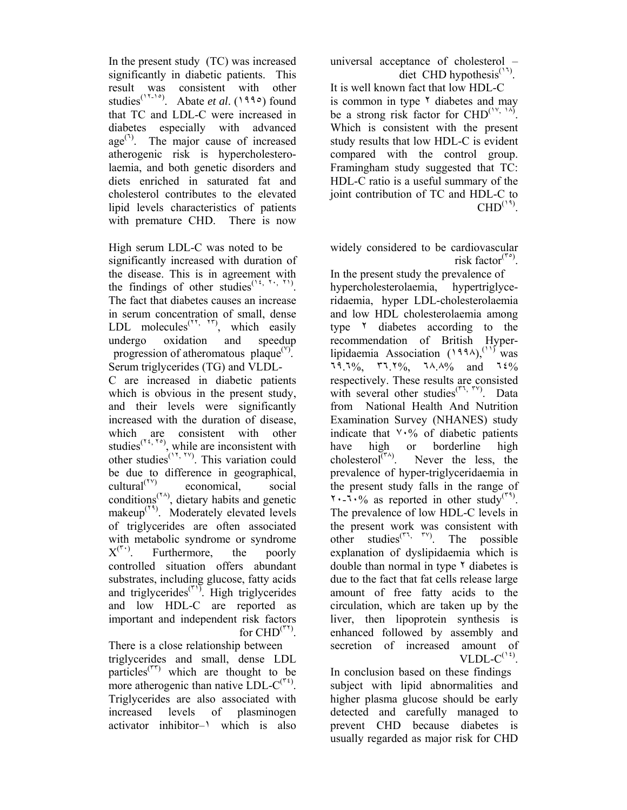In the present study (TC) was increased significantly in diabetic patients. This result was consistent with other studies<sup>(18,10</sup>). Abate *et al.* (1990) found that TC and LDL-C were increased in diabetes especially with advanced  $age^{(1)}$ . The major cause of increased atherogenic risk is hypercholesterolaemia, and both genetic disorders and diets enriched in saturated fat and cholesterol contributes to the elevated lipid levels characteristics of patients with premature CHD. There is now

High serum LDL-C was noted to be significantly increased with duration of the disease. This is in agreement with the findings of other studies<sup>(14,  $\gamma$ </sup>,  $\gamma$ ). The fact that diabetes causes an increase in serum concentration of small, dense LDL molecules<sup> $(1, 1, 1)$ </sup>, which easily undergo oxidation and speedup progression of atheromatous plaque $(y)$ . Serum triglycerides (TG) and VLDL-C are increased in diabetic patients which is obvious in the present study, and their levels were significantly increased with the duration of disease, which are consistent with other studies<sup> $(1, 1, 1)$ </sup>, while are inconsistent with other studies<sup> $(1, 1)$ </sup>. This variation could be due to difference in geographical, cultural $(1)$ <sup>( $(1)$ )</sup> economical, social conditions(٢٨) , dietary habits and genetic makeup<sup>(14)</sup>. Moderately elevated levels of triglycerides are often associated with metabolic syndrome or syndrome  $X^{(\tau)}$ . . Furthermore, the poorly controlled situation offers abundant substrates, including glucose, fatty acids and triglycerides $(\mathbf{r})$ . High triglycerides and low HDL-C are reported as important and independent risk factors for  $CHD<sup>(77)</sup>$ 

There is a close relationship between triglycerides and small, dense LDL particles<sup>(TT)</sup> which are thought to be more atherogenic than native  $LDL-C^{(\tau \tau)}$ . Triglycerides are also associated with increased levels of plasminogen activator inhibitor–١ which is also

universal acceptance of cholesterol – diet CHD hypothesis<sup> $(17)$ </sup>.

It is well known fact that low HDL-C is common in type  $\lambda$  diabetes and may be a strong risk factor for  $CHD^{(\gamma, \gamma)}$ . Which is consistent with the present study results that low HDL-C is evident compared with the control group. Framingham study suggested that TC: HDL-C ratio is a useful summary of the joint contribution of TC and HDL-C to  $CHD<sup>(14)</sup>$ .

widely considered to be cardiovascular risk factor<sup> $(\tilde{r}^{\circ})$ </sup>.

In the present study the prevalence of hypercholesterolaemia, hypertriglyceridaemia, hyper LDL-cholesterolaemia and low HDL cholesterolaemia among type ٢ diabetes according to the recommendation of British Hyperlipidaemia Association  $(1994)$ ,<sup>(11)</sup> was ٦٩.٦%, ٣٦.٢%, ٦٨.٨% and ٦٤% respectively. These results are consisted with several other studies(٣٦, ٣٧) . Data from National Health And Nutrition Examination Survey (NHANES) study indicate that  $\vee \cdot \%$  of diabetic patients have high or borderline high cholesterol $\widetilde{\mathfrak{l}}^{(\tau\lambda)}$ . Never the less, the prevalence of hyper-triglyceridaemia in the present study falls in the range of  $1.1\%$  as reported in other study<sup>( $\tau$ 4</sup>). The prevalence of low HDL-C levels in the present work was consistent with other studies(٣٦, ٣٧) . The possible explanation of dyslipidaemia which is double than normal in type  $\gamma$  diabetes is due to the fact that fat cells release large amount of free fatty acids to the circulation, which are taken up by the liver, then lipoprotein synthesis is enhanced followed by assembly and secretion of increased amount of VLDL- $C^{(1)}$ .

In conclusion based on these findings subject with lipid abnormalities and higher plasma glucose should be early detected and carefully managed to prevent CHD because diabetes is usually regarded as major risk for CHD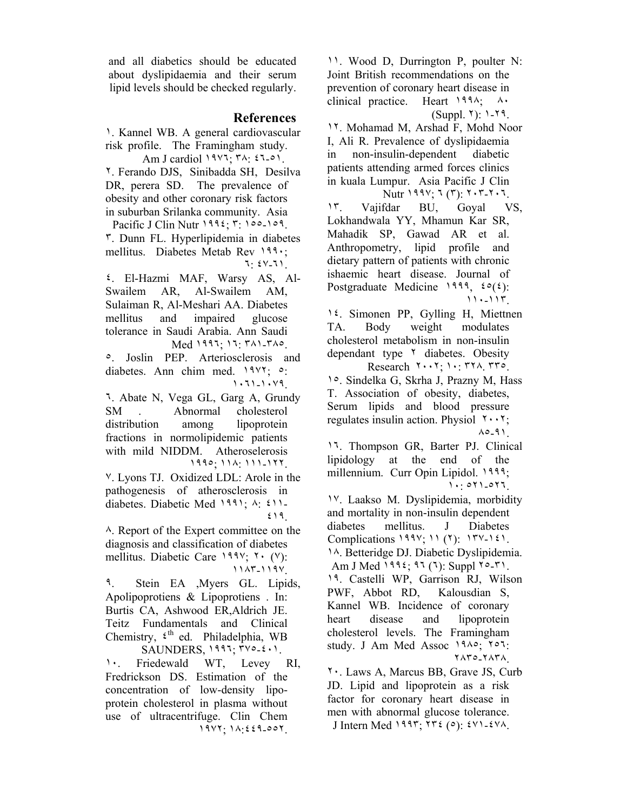and all diabetics should be educated about dyslipidaemia and their serum lipid levels should be checked regularly.

#### **References**

- ١. Kannel WB. A general cardiovascular risk profile. The Framingham study. Am J cardiol ١٩٧٦; ٣٨: ٤٦-٥١.
- ٢. Ferando DJS, Sinibadda SH, Desilva DR, perera SD. The prevalence of obesity and other coronary risk factors in suburban Srilanka community. Asia Pacific J Clin Nutr 1995; ٣: ١٥٥-١٥٩.
- ٣. Dunn FL. Hyperlipidemia in diabetes mellitus. Diabetes Metab Rev ١٩٩٠; ٦: ٤٧-٦١.
- ٤. El-Hazmi MAF, Warsy AS, Al-Swailem AR, Al-Swailem AM, Sulaiman R, Al-Meshari AA. Diabetes mellitus and impaired glucose tolerance in Saudi Arabia. Ann Saudi Med ١٩٩٦; ١٦: ٣٨١-٣٨٥.
- ٥. Joslin PEP. Arteriosclerosis and diabetes. Ann chim med. ١٩٧٢; ٥: ١٠٦١-١٠٧٩.
- ٦. Abate N, Vega GL, Garg A, Grundy SM . Abnormal cholesterol distribution among lipoprotein fractions in normolipidemic patients with mild NIDDM. Atheroselerosis ١٩٩٥; ١١٨: ١١١-١٢٢.
- ٧. Lyons TJ. Oxidized LDL: Arole in the pathogenesis of atherosclerosis in diabetes. Diabetic Med ١٩٩١; ٨: ٤١١- ٤١٩.
- ٨. Report of the Expert committee on the diagnosis and classification of diabetes mellitus. Diabetic Care ١٩٩٧; ٢٠ (٧): ١١٨٣-١١٩٧.
- ٩. Stein EA ,Myers GL. Lipids, Apolipoprotiens & Lipoprotiens . In: Burtis CA, Ashwood ER,Aldrich JE. Teitz Fundamentals and Clinical Chemistry,  $\xi$ <sup>th</sup> ed. Philadelphia, WB  $SAUNDERS$ ,  $1997; 700-2...$
- ١٠. Friedewald WT, Levey RI, Fredrickson DS. Estimation of the concentration of low-density lipoprotein cholesterol in plasma without use of ultracentrifuge. Clin Chem ١٩٧٢; ١٨:٤٤٩-٥٥٢.
- ١١. Wood D, Durrington P, poulter N: Joint British recommendations on the prevention of coronary heart disease in clinical practice. Heart ١٩٩٨; ٨٠ (Suppl. ٢): ١-٢٩.
- ١٢. Mohamad M, Arshad F, Mohd Noor I, Ali R. Prevalence of dyslipidaemia in non-insulin-dependent diabetic patients attending armed forces clinics in kuala Lumpur. Asia Pacific J Clin Nutr ١٩٩٧; ٦ (٣): ٢٠٣-٢٠٦.
- ١٣. Vajifdar BU, Goyal VS, Lokhandwala YY, Mhamun Kar SR, Mahadik SP, Gawad AR et al. Anthropometry, lipid profile and dietary pattern of patients with chronic ishaemic heart disease. Journal of Postgraduate Medicine 1999,  $\mathfrak{so}(\mathfrak{c})$ : ١١٠-١١٣.
- ١٤. Simonen PP, Gylling H, Miettnen TA. Body weight modulates cholesterol metabolism in non-insulin dependant type ٢ diabetes. Obesity Research ٢٠٠٢; ١٠: ٣٢٨. ٣٣٥.
- ١٥. Sindelka G, Skrha J, Prazny M, Hass T. Association of obesity, diabetes, Serum lipids and blood pressure regulates insulin action. Physiol  $1 \cdot 1$ ; ٨٥-٩١.
- ١٦. Thompson GR, Barter PJ. Clinical lipidology at the end of the millennium. Curr Opin Lipidol. 1999; ١٠: ٥٢١-٥٢٦.
- ١٧. Laakso M. Dyslipidemia, morbidity and mortality in non-insulin dependent diabetes mellitus. J Diabetes Complications ١٩٩٧; ١١ (٢): ١٣٧-١٤١. ١٨. Betteridge DJ. Diabetic Dyslipidemia.
- Am J Med ١٩٩٤; ٩٦ (٦): Suppl ٢٥-٣١. ١٩. Castelli WP, Garrison RJ, Wilson PWF, Abbot RD, Kalousdian S, Kannel WB. Incidence of coronary heart disease and lipoprotein cholesterol levels. The Framingham study. J Am Med Assoc ١٩٨٥; ٢٥٦:
	- ٢٨٣٥-٢٨٣٨.
- ٢٠. Laws A, Marcus BB, Grave JS, Curb JD. Lipid and lipoprotein as a risk factor for coronary heart disease in men with abnormal glucose tolerance. J Intern Med ١٩٩٣; ٢٣٤ (٥): ٤٧١-٤٧٨.